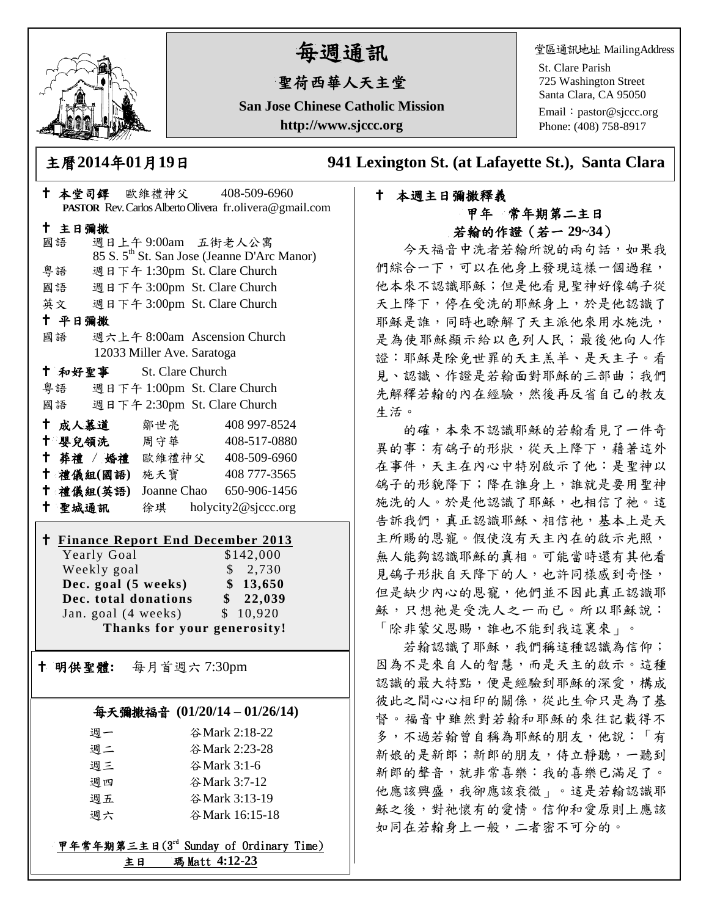

# 每週通訊

# 聖荷西華人天主堂

**San Jose Chinese Catholic Mission http://www.sjccc.org**

堂區通訊地址 MailingAddress

St. Clare Parish 725 Washington Street Santa Clara, CA 95050

Email: [pastor@sjccc.org](mailto:pastor@sjccc.org) Phone: (408) 758-8917

主曆**2014**年**01**月**19**日 **941 Lexington St. (at Lafayette St.), Santa Clara** 

## 本週主日彌撒釋義 甲年 常年期第二主日 若翰的作證(若一 **29~34**)

今天福音中洗者若翰所說的兩句話,如果我 們綜合一下,可以在他身上發現這樣一個過程, 他本來不認識耶穌;但是他看見聖神好像鴿子從 天上降下,停在受洗的耶穌身上,於是他認識了 耶穌是誰,同時也瞭解了天主派他來用水施洗, 是為使耶穌顯示給以色列人民;最後他向人作 證:耶穌是除免世罪的天主羔羊、是天主子。看 見、認識、作證是若翰面對耶穌的三部曲;我們 先解釋若翰的內在經驗,然後再反省自己的教友 生活。

的確,本來不認識耶穌的若翰看見了一件奇 異的事:有鴿子的形狀,從天上降下,藉著這外 在事件,天主在內心中特別啟示了他:是聖神以 鴿子的形貌降下;降在誰身上,誰就是要用聖神 施洗的人。於是他認識了耶穌,也相信了祂。這 告訴我們,真正認識耶穌、相信祂,基本上是天 主所賜的恩寵。假使沒有天主內在的啟示光照, 無人能夠認識耶穌的真相。可能當時還有其他看 見鴿子形狀自天降下的人,也許同樣感到奇怪, 但是缺少內心的恩寵,他們並不因此真正認識耶 穌,只想祂是受洗人之一而已。所以耶穌說: 「除非蒙父恩賜,誰也不能到我這裏來」。

若翰認識了耶穌,我們稱這種認識為信仰; 因為不是來自人的智慧,而是天主的啟示。這種 認識的最大特點,便是經驗到耶穌的深愛,構成 彼此之間心心相印的關係,從此生命只是為了基 督。福音中雖然對若翰和耶穌的來往記載得不 多,不過若翰曾自稱為耶穌的朋友,他說:「有 新娘的是新郎;新郎的朋友,侍立靜聽,一聽到 新郎的聲音,就非常喜樂:我的喜樂已滿足了。 他應該興盛,我卻應該衰微」。這是若翰認識耶 **穌之後,對祂懷有的愛情。信仰和愛原則上應該** 如同在若翰身上一般,二者密不可分的。

| + 本堂司鐸 歐維禮神父 408-509-6960                                      |                              | PASTOR Rev. Carlos Alberto Olivera fr.olivera@gmail.com |  |
|----------------------------------------------------------------|------------------------------|---------------------------------------------------------|--|
| 十 主日彌撒                                                         |                              |                                                         |  |
| 國語                                                             | 週日上午9:00am 五街老人公寓            |                                                         |  |
|                                                                |                              | 85 S. 5 <sup>th</sup> St. San Jose (Jeanne D'Arc Manor) |  |
| 粤語                                                             | 週日下午 1:30pm St. Clare Church |                                                         |  |
| 國語                                                             | 週日下午 3:00pm St. Clare Church |                                                         |  |
| 英文                                                             | 週日下午 3:00pm St. Clare Church |                                                         |  |
| 十 平日彌撒                                                         |                              |                                                         |  |
| 國語                                                             | 週六上午 8:00am Ascension Church |                                                         |  |
|                                                                | 12033 Miller Ave. Saratoga   |                                                         |  |
| <sup>†</sup> 和好聖事 St. Clare Church                             |                              |                                                         |  |
| 粤語 週日下午 1:00pm St. Clare Church                                |                              |                                                         |  |
| 國語 週日下午 2:30pm St. Clare Church                                |                              |                                                         |  |
| <b>† 成人慕道</b> 鄒世亮 408 997-8524                                 |                              |                                                         |  |
| † 嬰兒領洗 周守華 408-517-0880                                        |                              |                                                         |  |
| + 葬禮 / 婚禮 歐維禮神父 408-509-6960                                   |                              |                                                         |  |
| † 禮儀組(國語) 施天寶                                                  |                              | 408 777-3565                                            |  |
| † 禮儀組(英語) Joanne Chao 650-906-1456                             |                              |                                                         |  |
| 十 聖城通訊                                                         |                              | 徐琪 holycity2@sjccc.org                                  |  |
| <b>t Finance Report End December 2013</b>                      |                              |                                                         |  |
| Yearly Goal                                                    |                              | \$142,000                                               |  |
| Weekly goal                                                    |                              | \$2,730                                                 |  |
| Dec. goal (5 weeks)<br>\$13,650                                |                              |                                                         |  |
| \$22,039<br>Dec. total donations                               |                              |                                                         |  |
| Jan. goal (4 weeks)<br>\$10,920<br>Thanks for your generosity! |                              |                                                         |  |
|                                                                |                              |                                                         |  |
| † 明供聖體: 每月首週六 7:30pm                                           |                              |                                                         |  |
|                                                                |                              |                                                         |  |
| 每天彌撒福音 (01/20/14-01/26/14)                                     |                              |                                                         |  |
| 週一                                                             |                              | 谷Mark 2:18-22                                           |  |
| 週二                                                             | 谷Mark 2:23-28                |                                                         |  |
| 週三                                                             | 谷Mark 3:1-6                  |                                                         |  |
| 週四                                                             | 谷Mark 3:7-12                 |                                                         |  |
| 週五                                                             |                              | 谷Mark 3:13-19                                           |  |
| 週六                                                             | 谷Mark 16:15-18               |                                                         |  |
| 甲年常年期第三主日(3rd Sunday of Ordinary Time)                         |                              |                                                         |  |

主日 瑪 Matt **4:12-23**

Ξ